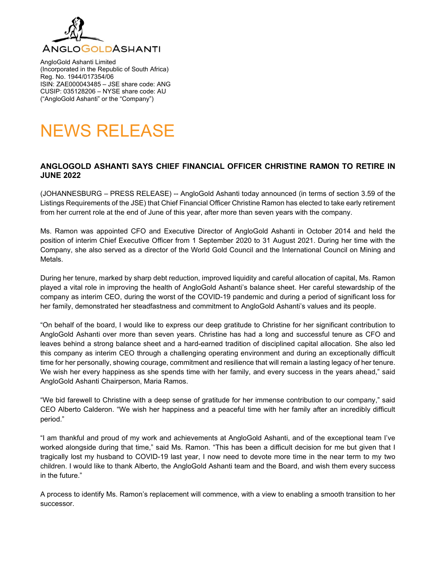

AngloGold Ashanti Limited (Incorporated in the Republic of South Africa) Reg. No. 1944/017354/06 ISIN: ZAE000043485 – JSE share code: ANG CUSIP: 035128206 – NYSE share code: AU ("AngloGold Ashanti" or the "Company")

# NEWS RELEASE

#### **ANGLOGOLD ASHANTI SAYS CHIEF FINANCIAL OFFICER CHRISTINE RAMON TO RETIRE IN JUNE 2022**

(JOHANNESBURG – PRESS RELEASE) -- AngloGold Ashanti today announced (in terms of section 3.59 of the Listings Requirements of the JSE) that Chief Financial Officer Christine Ramon has elected to take early retirement from her current role at the end of June of this year, after more than seven years with the company.

Ms. Ramon was appointed CFO and Executive Director of AngloGold Ashanti in October 2014 and held the position of interim Chief Executive Officer from 1 September 2020 to 31 August 2021. During her time with the Company, she also served as a director of the World Gold Council and the International Council on Mining and Metals.

During her tenure, marked by sharp debt reduction, improved liquidity and careful allocation of capital, Ms. Ramon played a vital role in improving the health of AngloGold Ashanti's balance sheet. Her careful stewardship of the company as interim CEO, during the worst of the COVID-19 pandemic and during a period of significant loss for her family, demonstrated her steadfastness and commitment to AngloGold Ashanti's values and its people.

"On behalf of the board, I would like to express our deep gratitude to Christine for her significant contribution to AngloGold Ashanti over more than seven years. Christine has had a long and successful tenure as CFO and leaves behind a strong balance sheet and a hard-earned tradition of disciplined capital allocation. She also led this company as interim CEO through a challenging operating environment and during an exceptionally difficult time for her personally, showing courage, commitment and resilience that will remain a lasting legacy of her tenure. We wish her every happiness as she spends time with her family, and every success in the years ahead," said AngloGold Ashanti Chairperson, Maria Ramos.

"We bid farewell to Christine with a deep sense of gratitude for her immense contribution to our company," said CEO Alberto Calderon. "We wish her happiness and a peaceful time with her family after an incredibly difficult period."

"I am thankful and proud of my work and achievements at AngloGold Ashanti, and of the exceptional team I've worked alongside during that time," said Ms. Ramon. "This has been a difficult decision for me but given that I tragically lost my husband to COVID-19 last year, I now need to devote more time in the near term to my two children. I would like to thank Alberto, the AngloGold Ashanti team and the Board, and wish them every success in the future."

A process to identify Ms. Ramon's replacement will commence, with a view to enabling a smooth transition to her successor.